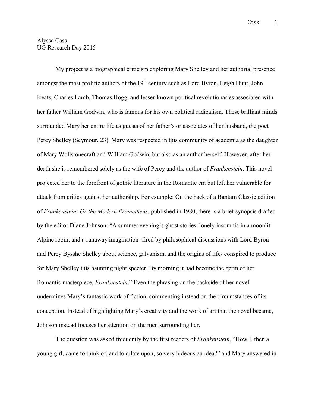## Alyssa Cass UG Research Day 2015

My project is a biographical criticism exploring Mary Shelley and her authorial presence amongst the most prolific authors of the  $19<sup>th</sup>$  century such as Lord Byron, Leigh Hunt, John Keats, Charles Lamb, Thomas Hogg, and lesser-known political revolutionaries associated with her father William Godwin, who is famous for his own political radicalism. These brilliant minds surrounded Mary her entire life as guests of her father's or associates of her husband, the poet Percy Shelley (Seymour, 23). Mary was respected in this community of academia as the daughter of Mary Wollstonecraft and William Godwin, but also as an author herself. However, after her death she is remembered solely as the wife of Percy and the author of *Frankenstein*. This novel projected her to the forefront of gothic literature in the Romantic era but left her vulnerable for attack from critics against her authorship. For example: On the back of a Bantam Classic edition of *Frankenstein: Or the Modern Prometheus*, published in 1980, there is a brief synopsis drafted by the editor Diane Johnson: "A summer evening's ghost stories, lonely insomnia in a moonlit Alpine room, and a runaway imagination- fired by philosophical discussions with Lord Byron and Percy Bysshe Shelley about science, galvanism, and the origins of life- conspired to produce for Mary Shelley this haunting night specter. By morning it had become the germ of her Romantic masterpiece, *Frankenstein*." Even the phrasing on the backside of her novel undermines Mary's fantastic work of fiction, commenting instead on the circumstances of its conception. Instead of highlighting Mary's creativity and the work of art that the novel became, Johnson instead focuses her attention on the men surrounding her.

The question was asked frequently by the first readers of *Frankenstein*, "How I, then a young girl, came to think of, and to dilate upon, so very hideous an idea?" and Mary answered in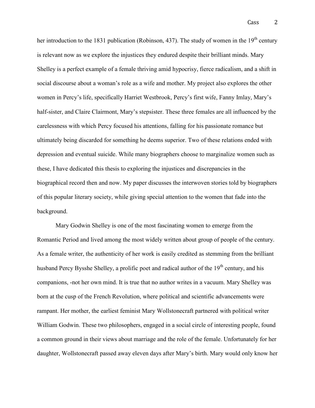her introduction to the 1831 publication (Robinson, 437). The study of women in the  $19<sup>th</sup>$  century is relevant now as we explore the injustices they endured despite their brilliant minds. Mary Shelley is a perfect example of a female thriving amid hypocrisy, fierce radicalism, and a shift in social discourse about a woman's role as a wife and mother. My project also explores the other women in Percy's life, specifically Harriet Westbrook, Percy's first wife, Fanny Imlay, Mary's half-sister, and Claire Clairmont, Mary's stepsister. These three females are all influenced by the carelessness with which Percy focused his attentions, falling for his passionate romance but ultimately being discarded for something he deems superior. Two of these relations ended with depression and eventual suicide. While many biographers choose to marginalize women such as these, I have dedicated this thesis to exploring the injustices and discrepancies in the biographical record then and now. My paper discusses the interwoven stories told by biographers of this popular literary society, while giving special attention to the women that fade into the background.

Mary Godwin Shelley is one of the most fascinating women to emerge from the Romantic Period and lived among the most widely written about group of people of the century. As a female writer, the authenticity of her work is easily credited as stemming from the brilliant husband Percy Bysshe Shelley, a prolific poet and radical author of the 19<sup>th</sup> century, and his companions, -not her own mind. It is true that no author writes in a vacuum. Mary Shelley was born at the cusp of the French Revolution, where political and scientific advancements were rampant. Her mother, the earliest feminist Mary Wollstonecraft partnered with political writer William Godwin. These two philosophers, engaged in a social circle of interesting people, found a common ground in their views about marriage and the role of the female. Unfortunately for her daughter, Wollstonecraft passed away eleven days after Mary's birth. Mary would only know her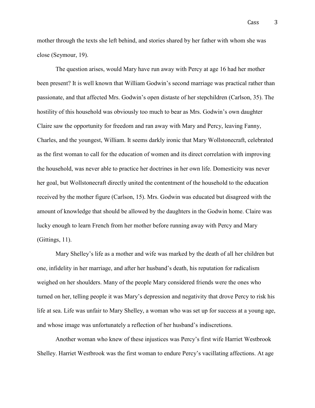mother through the texts she left behind, and stories shared by her father with whom she was close (Seymour, 19).

The question arises, would Mary have run away with Percy at age 16 had her mother been present? It is well known that William Godwin's second marriage was practical rather than passionate, and that affected Mrs. Godwin's open distaste of her stepchildren (Carlson, 35). The hostility of this household was obviously too much to bear as Mrs. Godwin's own daughter Claire saw the opportunity for freedom and ran away with Mary and Percy, leaving Fanny, Charles, and the youngest, William. It seems darkly ironic that Mary Wollstonecraft, celebrated as the first woman to call for the education of women and its direct correlation with improving the household, was never able to practice her doctrines in her own life. Domesticity was never her goal, but Wollstonecraft directly united the contentment of the household to the education received by the mother figure (Carlson, 15). Mrs. Godwin was educated but disagreed with the amount of knowledge that should be allowed by the daughters in the Godwin home. Claire was lucky enough to learn French from her mother before running away with Percy and Mary (Gittings, 11).

Mary Shelley's life as a mother and wife was marked by the death of all her children but one, infidelity in her marriage, and after her husband's death, his reputation for radicalism weighed on her shoulders. Many of the people Mary considered friends were the ones who turned on her, telling people it was Mary's depression and negativity that drove Percy to risk his life at sea. Life was unfair to Mary Shelley, a woman who was set up for success at a young age, and whose image was unfortunately a reflection of her husband's indiscretions.

Another woman who knew of these injustices was Percy's first wife Harriet Westbrook Shelley. Harriet Westbrook was the first woman to endure Percy's vacillating affections. At age

Cass 3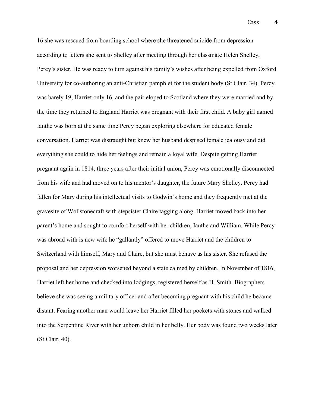16 she was rescued from boarding school where she threatened suicide from depression according to letters she sent to Shelley after meeting through her classmate Helen Shelley, Percy's sister. He was ready to turn against his family's wishes after being expelled from Oxford University for co-authoring an anti-Christian pamphlet for the student body (St Clair, 34). Percy was barely 19, Harriet only 16, and the pair eloped to Scotland where they were married and by the time they returned to England Harriet was pregnant with their first child. A baby girl named Ianthe was born at the same time Percy began exploring elsewhere for educated female conversation. Harriet was distraught but knew her husband despised female jealousy and did everything she could to hide her feelings and remain a loyal wife. Despite getting Harriet pregnant again in 1814, three years after their initial union, Percy was emotionally disconnected from his wife and had moved on to his mentor's daughter, the future Mary Shelley. Percy had fallen for Mary during his intellectual visits to Godwin's home and they frequently met at the gravesite of Wollstonecraft with stepsister Claire tagging along. Harriet moved back into her parent's home and sought to comfort herself with her children, Ianthe and William. While Percy was abroad with is new wife he "gallantly" offered to move Harriet and the children to Switzerland with himself, Mary and Claire, but she must behave as his sister. She refused the proposal and her depression worsened beyond a state calmed by children. In November of 1816, Harriet left her home and checked into lodgings, registered herself as H. Smith. Biographers believe she was seeing a military officer and after becoming pregnant with his child he became distant. Fearing another man would leave her Harriet filled her pockets with stones and walked into the Serpentine River with her unborn child in her belly. Her body was found two weeks later (St Clair, 40).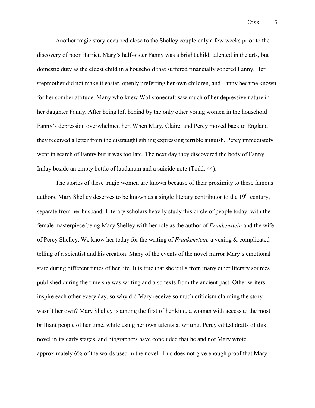Another tragic story occurred close to the Shelley couple only a few weeks prior to the discovery of poor Harriet. Mary's half-sister Fanny was a bright child, talented in the arts, but domestic duty as the eldest child in a household that suffered financially sobered Fanny. Her stepmother did not make it easier, openly preferring her own children, and Fanny became known for her somber attitude. Many who knew Wollstonecraft saw much of her depressive nature in her daughter Fanny. After being left behind by the only other young women in the household Fanny's depression overwhelmed her. When Mary, Claire, and Percy moved back to England they received a letter from the distraught sibling expressing terrible anguish. Percy immediately went in search of Fanny but it was too late. The next day they discovered the body of Fanny Imlay beside an empty bottle of laudanum and a suicide note (Todd, 44).

The stories of these tragic women are known because of their proximity to these famous authors. Mary Shelley deserves to be known as a single literary contributor to the 19<sup>th</sup> century, separate from her husband. Literary scholars heavily study this circle of people today, with the female masterpiece being Mary Shelley with her role as the author of *Frankenstein* and the wife of Percy Shelley. We know her today for the writing of *Frankenstein,* a vexing & complicated telling of a scientist and his creation. Many of the events of the novel mirror Mary's emotional state during different times of her life. It is true that she pulls from many other literary sources published during the time she was writing and also texts from the ancient past. Other writers inspire each other every day, so why did Mary receive so much criticism claiming the story wasn't her own? Mary Shelley is among the first of her kind, a woman with access to the most brilliant people of her time, while using her own talents at writing. Percy edited drafts of this novel in its early stages, and biographers have concluded that he and not Mary wrote approximately 6% of the words used in the novel. This does not give enough proof that Mary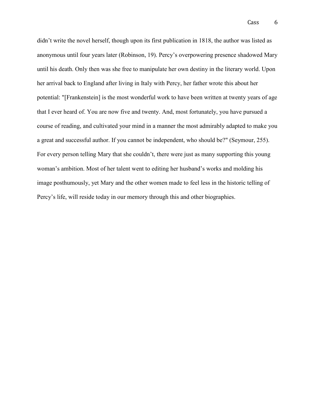didn't write the novel herself, though upon its first publication in 1818, the author was listed as anonymous until four years later (Robinson, 19). Percy's overpowering presence shadowed Mary until his death. Only then was she free to manipulate her own destiny in the literary world. Upon her arrival back to England after living in Italy with Percy, her father wrote this about her potential: "[Frankenstein] is the most wonderful work to have been written at twenty years of age that I ever heard of. You are now five and twenty. And, most fortunately, you have pursued a course of reading, and cultivated your mind in a manner the most admirably adapted to make you a great and successful author. If you cannot be independent, who should be?" (Seymour, 255). For every person telling Mary that she couldn't, there were just as many supporting this young woman's ambition. Most of her talent went to editing her husband's works and molding his image posthumously, yet Mary and the other women made to feel less in the historic telling of Percy's life, will reside today in our memory through this and other biographies.